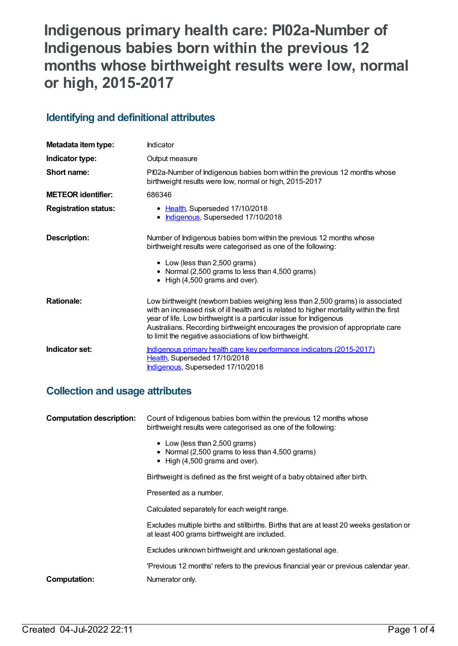# **Indigenous primary health care: PI02a-Number of Indigenous babies born within the previous 12 months whose birthweight results were low, normal or high, 2015-2017**

# **Identifying and definitional attributes**

| Metadata item type:         | Indicator                                                                                                                                                                                                                                                                                                                                                                                    |
|-----------------------------|----------------------------------------------------------------------------------------------------------------------------------------------------------------------------------------------------------------------------------------------------------------------------------------------------------------------------------------------------------------------------------------------|
| Indicator type:             | Output measure                                                                                                                                                                                                                                                                                                                                                                               |
| Short name:                 | PI02a-Number of Indigenous babies born within the previous 12 months whose<br>birthweight results were low, normal or high, 2015-2017                                                                                                                                                                                                                                                        |
| <b>METEOR identifier:</b>   | 686346                                                                                                                                                                                                                                                                                                                                                                                       |
| <b>Registration status:</b> | • Health, Superseded 17/10/2018<br>Indigenous, Superseded 17/10/2018<br>$\bullet$                                                                                                                                                                                                                                                                                                            |
| Description:                | Number of Indigenous babies born within the previous 12 months whose<br>birthweight results were categorised as one of the following:<br>• Low (less than 2,500 grams)<br>• Normal (2,500 grams to less than 4,500 grams)<br>• High (4,500 grams and over).                                                                                                                                  |
| <b>Rationale:</b>           | Low birthweight (newborn babies weighing less than 2,500 grams) is associated<br>with an increased risk of ill health and is related to higher mortality within the first<br>year of life. Low birthweight is a particular issue for Indigenous<br>Australians. Recording birthweight encourages the provision of appropriate care<br>to limit the negative associations of low birthweight. |
| Indicator set:              | Indigenous primary health care key performance indicators (2015-2017)<br>Health, Superseded 17/10/2018<br>Indigenous, Superseded 17/10/2018                                                                                                                                                                                                                                                  |

### **Collection and usage attributes**

| <b>Computation description:</b> | Count of Indigenous babies born within the previous 12 months whose<br>birthweight results were categorised as one of the following:     |
|---------------------------------|------------------------------------------------------------------------------------------------------------------------------------------|
|                                 | • Low (less than 2,500 grams)<br>• Normal (2,500 grams to less than 4,500 grams)<br>$\bullet$ High (4,500 grams and over).               |
|                                 | Birthweight is defined as the first weight of a baby obtained after birth.                                                               |
|                                 | Presented as a number.                                                                                                                   |
|                                 | Calculated separately for each weight range.                                                                                             |
|                                 | Excludes multiple births and stillbirths. Births that are at least 20 weeks gestation or<br>at least 400 grams birthweight are included. |
|                                 | Excludes unknown birthweight and unknown gestational age.                                                                                |
|                                 | 'Previous 12 months' refers to the previous financial year or previous calendar year.                                                    |
| <b>Computation:</b>             | Numerator only.                                                                                                                          |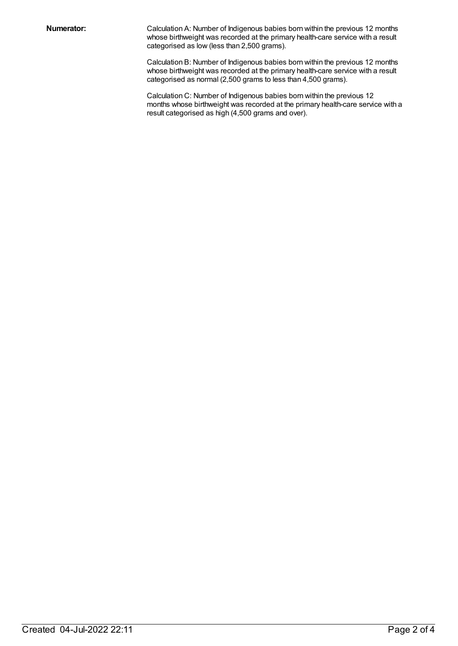**Numerator:** Calculation A: Number of Indigenous babies born within the previous 12 months whose birthweight was recorded at the primary health-care service with a result categorised as low (less than 2,500 grams).

> Calculation B: Number of Indigenous babies born within the previous 12 months whose birthweight was recorded at the primary health-care service with a result categorised as normal (2,500 grams to less than 4,500 grams).

Calculation C: Number of Indigenous babies born within the previous 12 months whose birthweight was recorded at the primary health-care service with a result categorised as high (4,500 grams and over).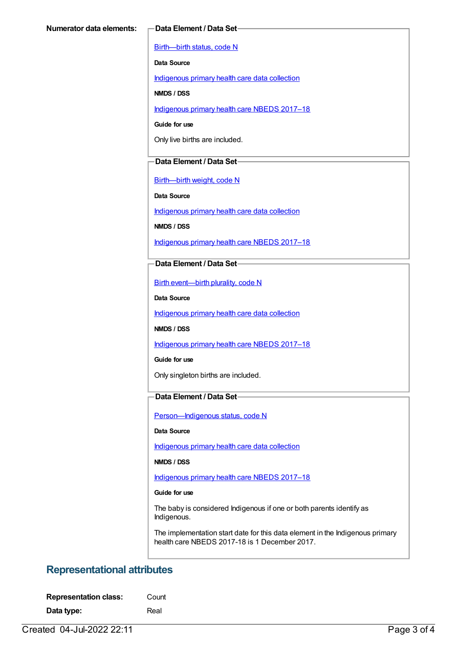[Birth—birth](https://meteor.aihw.gov.au/content/269949) status, code N

**Data Source**

[Indigenous](https://meteor.aihw.gov.au/content/430643) primary health care data collection

**NMDS / DSS**

[Indigenous](https://meteor.aihw.gov.au/content/686603) primary health care NBEDS 2017–18

**Guide for use**

Only live births are included.

#### **Data Element / Data Set**

[Birth—birth](https://meteor.aihw.gov.au/content/459938) weight, code N

**Data Source**

[Indigenous](https://meteor.aihw.gov.au/content/430643) primary health care data collection

**NMDS / DSS**

[Indigenous](https://meteor.aihw.gov.au/content/686603) primary health care NBEDS 2017–18

#### **Data Element / Data Set**

Birth [event—birth](https://meteor.aihw.gov.au/content/482409) plurality, code N

**Data Source**

[Indigenous](https://meteor.aihw.gov.au/content/430643) primary health care data collection

**NMDS / DSS**

[Indigenous](https://meteor.aihw.gov.au/content/686603) primary health care NBEDS 2017–18

**Guide for use**

Only singleton births are included.

### **Data Element / Data Set**

[Person—Indigenous](https://meteor.aihw.gov.au/content/602543) status, code N

#### **Data Source**

[Indigenous](https://meteor.aihw.gov.au/content/430643) primary health care data collection

**NMDS / DSS**

[Indigenous](https://meteor.aihw.gov.au/content/686603) primary health care NBEDS 2017–18

#### **Guide for use**

The baby is considered Indigenous if one or both parents identify as Indigenous.

The implementation start date for this data element in the Indigenous primary health care NBEDS 2017-18 is 1 December 2017.

### **Representational attributes**

**Data type:** Real